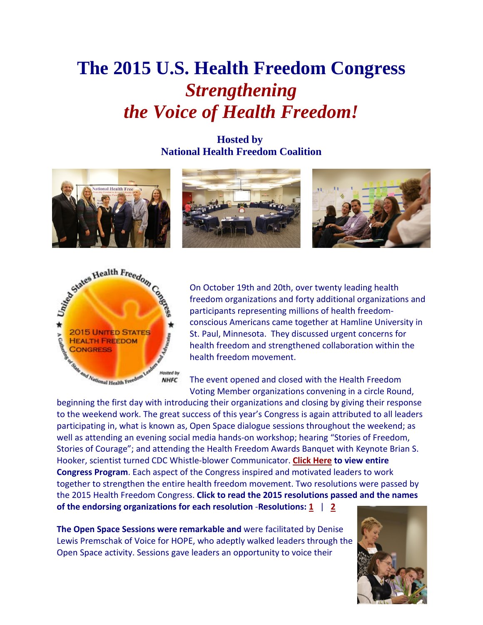# **The 2015 U.S. Health Freedom Congress** *Strengthening the Voice of Health Freedom!*

**Hosted by National Health Freedom Coalition**





On October 19th and 20th, over twenty leading health freedom organizations and forty additional organizations and participants representing millions of health freedomconscious Americans came together at Hamline University in St. Paul, Minnesota. They discussed urgent concerns for health freedom and strengthened collaboration within the health freedom movement.

The event opened and closed with the Health Freedom Voting Member organizations convening in a circle Round,

to the weekend work. The great success of this year's Congress is again attributed to all leaders participating in, what is known as, Open Space dialogue sessions throughout the weekend; as well as attending an evening social media hands-on workshop; hearing "Stories of Freedom, Stories of Courage"; and attending the Health Freedom Awards Banquet with Keynote Brian S. Hooker, scientist turned CDC Whistle-blower Communicator. **[Click Here](http://healthfreedomcongress.com/wp-content/uploads/2015/10/2015HealthFreedomCongressProgram.pdf) to view entire Congress Program**. Each aspect of the Congress inspired and motivated leaders to work together to strengthen the entire health freedom movement. Two resolutions were passed by the 2015 Health Freedom Congress. **Click to read the 2015 resolutions passed and the names of the endorsing organizations for each resolution** -**Resolutions: 1** | **2** 

**The Open Space Sessions were remarkable and** were facilitated by Denise Lewis Premschak of Voice for HOPE, who adeptly walked leaders through the Open Space activity. Sessions gave leaders an opportunity to voice their

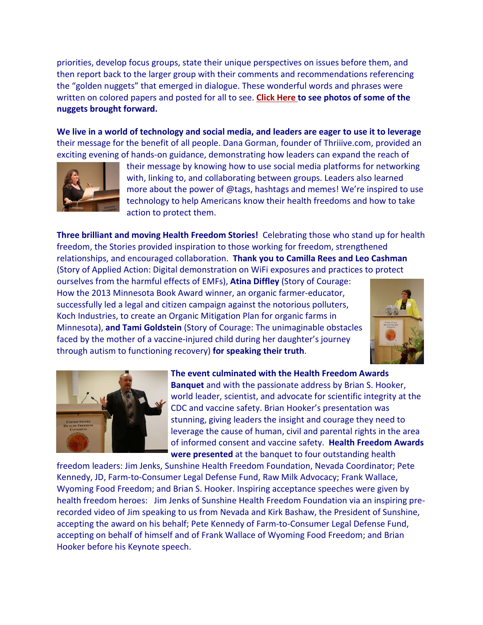priorities, develop focus groups, state their unique perspectives on issues before them, and then report back to the larger group with their comments and recommendations referencing the "golden nuggets" that emerged in dialogue. These wonderful words and phrases were written on colored papers and posted for all to see. **[Click Here](https://congress2015.shutterfly.com/pictures/5) to see photos of some of the nuggets brought forward.**

**We live in a world of technology and social media, and leaders are eager to use it to leverage** their message for the benefit of all people. Dana Gorman, founder of Thriiive.com, provided an exciting evening of hands-on guidance, demonstrating how leaders can expand the reach of



their message by knowing how to use social media platforms for networking with, linking to, and collaborating between groups. Leaders also learned more about the power of @tags, hashtags and memes! We're inspired to use technology to help Americans know their health freedoms and how to take action to protect them.

**Three brilliant and moving Health Freedom Stories!** Celebrating those who stand up for health freedom, the Stories provided inspiration to those working for freedom, strengthened relationships, and encouraged collaboration. **Thank you to Camilla Rees and Leo Cashman** (Story of Applied Action: Digital demonstration on WiFi exposures and practices to protect

ourselves from the harmful effects of EMFs), **Atina Diffley** (Story of Courage: How the 2013 Minnesota Book Award winner, an organic farmer-educator, successfully led a legal and citizen campaign against the notorious polluters, Koch Industries, to create an Organic Mitigation Plan for organic farms in Minnesota), **and Tami Goldstein** (Story of Courage: The unimaginable obstacles faced by the mother of a vaccine-injured child during her daughter's journey through autism to functioning recovery) **for speaking their truth**.





**The event culminated with the Health Freedom Awards Banquet** and with the passionate address by Brian S. Hooker, world leader, scientist, and advocate for scientific integrity at the CDC and vaccine safety. Brian Hooker's presentation was stunning, giving leaders the insight and courage they need to leverage the cause of human, civil and parental rights in the area of informed consent and vaccine safety. **Health Freedom Awards were presented** at the banquet to four outstanding health

freedom leaders: Jim Jenks, Sunshine Health Freedom Foundation, Nevada Coordinator; Pete Kennedy, JD, Farm-to-Consumer Legal Defense Fund, Raw Milk Advocacy; Frank Wallace, Wyoming Food Freedom; and Brian S. Hooker. Inspiring acceptance speeches were given by health freedom heroes: Jim Jenks of Sunshine Health Freedom Foundation via an inspiring prerecorded video of Jim speaking to us from Nevada and Kirk Bashaw, the President of Sunshine, accepting the award on his behalf; Pete Kennedy of Farm-to-Consumer Legal Defense Fund, accepting on behalf of himself and of Frank Wallace of Wyoming Food Freedom; and Brian Hooker before his Keynote speech.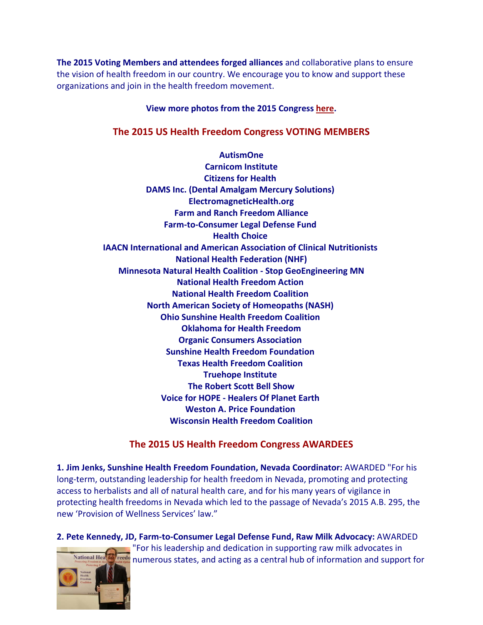**The 2015 Voting Members and attendees forged alliances** and collaborative plans to ensure the vision of health freedom in our country. We encourage you to know and support these organizations and join in the health freedom movement.

#### **View more photos from the 2015 Congress [here.](https://congress2015.shutterfly.com/pictures/5)**

#### **The 2015 US Health Freedom Congress VOTING MEMBERS**

**AutismOne Carnicom Institute Citizens for Health DAMS Inc. (Dental Amalgam Mercury Solutions) ElectromagneticHealth.org Farm and Ranch Freedom Alliance Farm-to-Consumer Legal Defense Fund Health Choice IAACN International and American Association of Clinical Nutritionists National Health Federation (NHF) Minnesota Natural Health Coalition - Stop GeoEngineering MN National Health Freedom Action National Health Freedom Coalition North American Society of Homeopaths (NASH) Ohio Sunshine Health Freedom Coalition Oklahoma for Health Freedom Organic Consumers Association Sunshine Health Freedom Foundation Texas Health Freedom Coalition Truehope Institute The Robert Scott Bell Show Voice for HOPE - Healers Of Planet Earth Weston A. Price Foundation Wisconsin Health Freedom Coalition**

#### **The 2015 US Health Freedom Congress AWARDEES**

**1. Jim Jenks, Sunshine Health Freedom Foundation, Nevada Coordinator:** AWARDED "For his long-term, outstanding leadership for health freedom in Nevada, promoting and protecting access to herbalists and all of natural health care, and for his many years of vigilance in protecting health freedoms in Nevada which led to the passage of Nevada's 2015 A.B. 295, the new 'Provision of Wellness Services' law."

**2. Pete Kennedy, JD, Farm-to-Consumer Legal Defense Fund, Raw Milk Advocacy:** AWARDED "For his leadership and dedication in supporting raw milk advocates in ational Hea reedo numerous states, and acting as a central hub of information and support for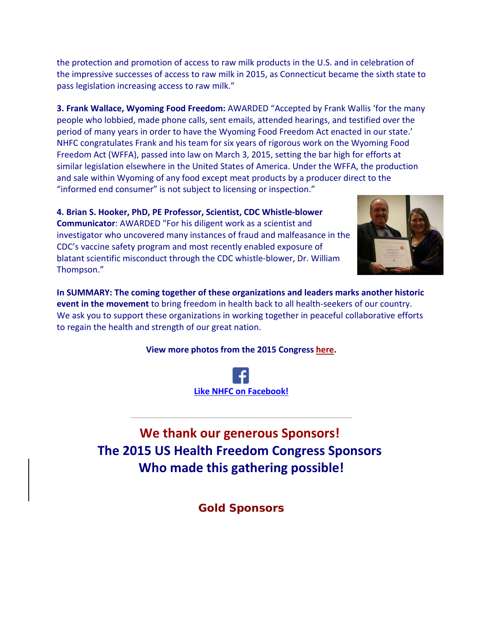the protection and promotion of access to raw milk products in the U.S. and in celebration of the impressive successes of access to raw milk in 2015, as Connecticut became the sixth state to pass legislation increasing access to raw milk."

**3. Frank Wallace, Wyoming Food Freedom:** AWARDED "Accepted by Frank Wallis 'for the many people who lobbied, made phone calls, sent emails, attended hearings, and testified over the period of many years in order to have the Wyoming Food Freedom Act enacted in our state.' NHFC congratulates Frank and his team for six years of rigorous work on the Wyoming Food Freedom Act (WFFA), passed into law on March 3, 2015, setting the bar high for efforts at similar legislation elsewhere in the United States of America. Under the WFFA, the production and sale within Wyoming of any food except meat products by a producer direct to the "informed end consumer" is not subject to licensing or inspection."

**4. Brian S. Hooker, PhD, PE Professor, Scientist, CDC Whistle-blower Communicator**: AWARDED "For his diligent work as a scientist and investigator who uncovered many instances of fraud and malfeasance in the CDC's vaccine safety program and most recently enabled exposure of blatant scientific misconduct through the CDC whistle-blower, Dr. William Thompson."



**In SUMMARY: The coming together of these organizations and leaders marks another historic event in the movement** to bring freedom in health back to all health-seekers of our country. We ask you to support these organizations in working together in peaceful collaborative efforts to regain the health and strength of our great nation.

#### **View more photos from the 2015 Congress [here.](https://congress2015.shutterfly.com/pictures/5)**



**We thank our generous Sponsors! The 2015 US Health Freedom Congress Sponsors Who made this gathering possible!**

**Gold Sponsors**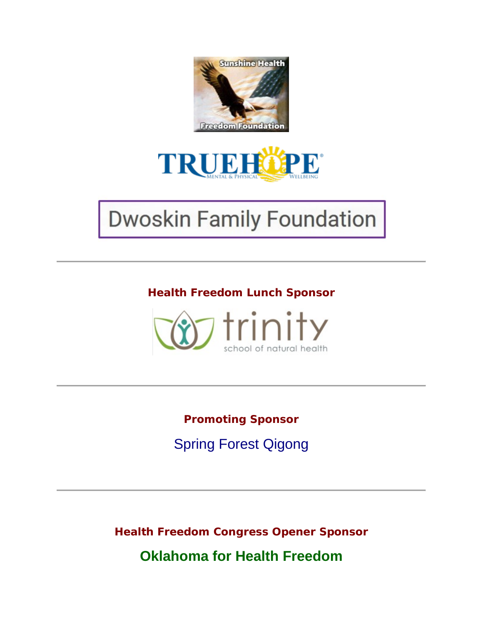



# **Dwoskin Family Foundation**

**Health Freedom Lunch Sponsor**



**Promoting Sponsor**  Spring Forest Qigong

**Health Freedom Congress Opener Sponsor**

**Oklahoma for Health Freedom**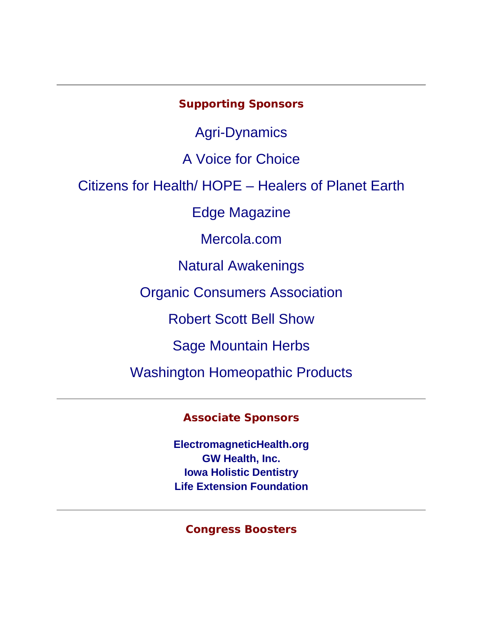## **Supporting Sponsors**

Agri-Dynamics

A Voice for Choice

Citizens for Health/ HOPE – Healers of Planet Earth

Edge Magazine

Mercola.com

Natural Awakenings

Organic Consumers Association

Robert Scott Bell Show

Sage Mountain Herbs

Washington Homeopathic Products

**Associate Sponsors** 

**ElectromagneticHealth.org GW Health, Inc. Iowa Holistic Dentistry Life Extension Foundation**

**Congress Boosters**